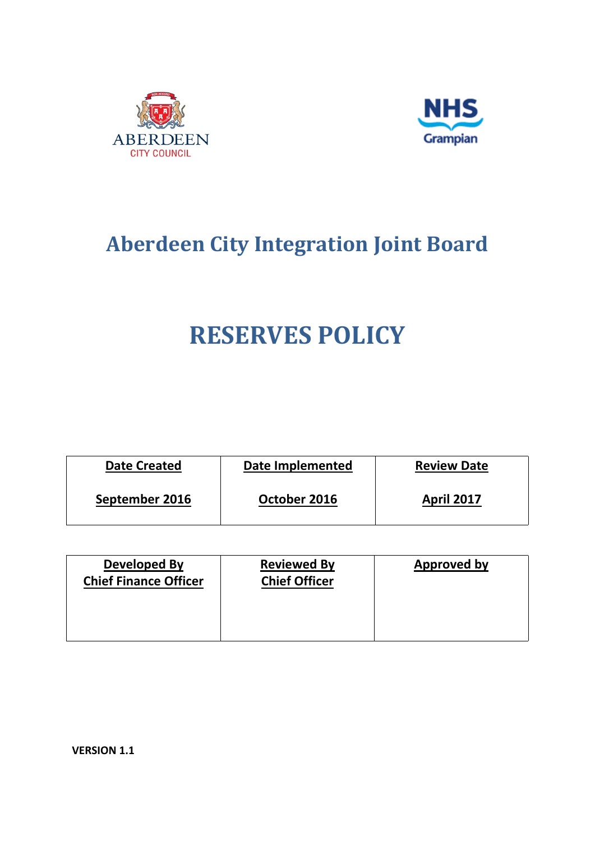



# **Aberdeen City Integration Joint Board**

# **RESERVES POLICY**

| <b>Date Created</b> | Date Implemented | <b>Review Date</b> |
|---------------------|------------------|--------------------|
| September 2016      | October 2016     | <b>April 2017</b>  |

| Developed By<br><b>Chief Finance Officer</b> | <b>Reviewed By</b><br><b>Chief Officer</b> | Approved by |
|----------------------------------------------|--------------------------------------------|-------------|
|                                              |                                            |             |

**VERSION 1.1**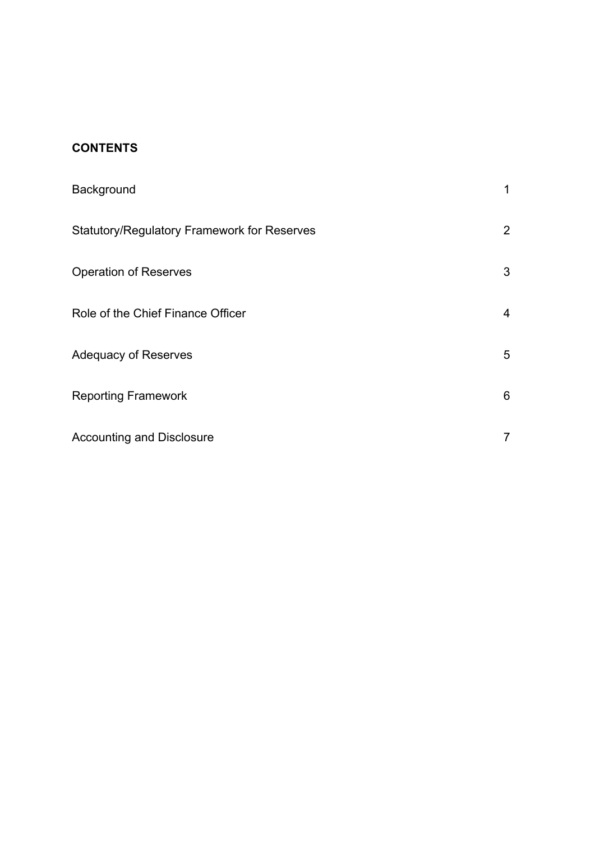# **CONTENTS**

| Background                                         | 1              |
|----------------------------------------------------|----------------|
| <b>Statutory/Regulatory Framework for Reserves</b> | $\overline{2}$ |
| <b>Operation of Reserves</b>                       | 3              |
| Role of the Chief Finance Officer                  | 4              |
| <b>Adequacy of Reserves</b>                        | 5              |
| <b>Reporting Framework</b>                         | 6              |
| <b>Accounting and Disclosure</b>                   | $\overline{7}$ |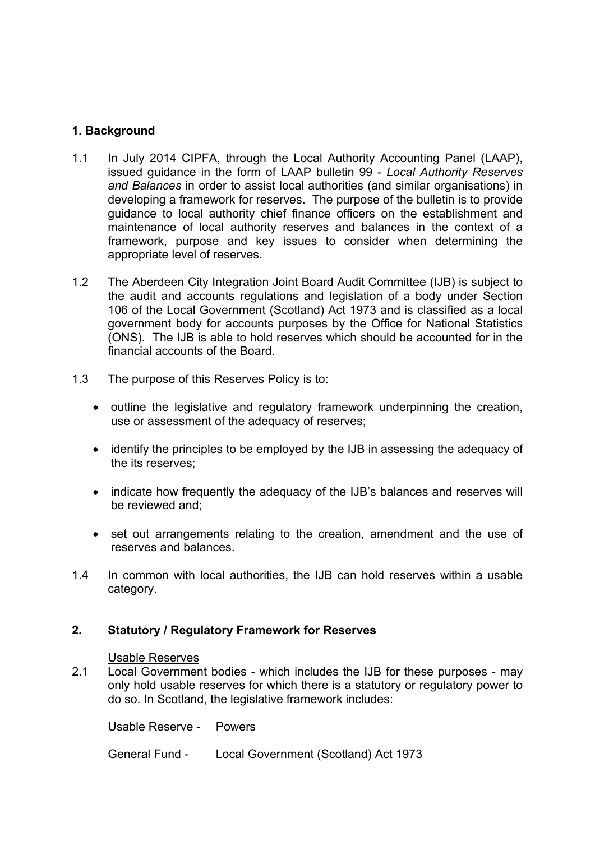### **1. Background**

- 1.1 In July 2014 CIPFA, through the Local Authority Accounting Panel (LAAP), issued guidance in the form of LAAP bulletin 99 - *Local Authority Reserves and Balances* in order to assist local authorities (and similar organisations) in developing a framework for reserves. The purpose of the bulletin is to provide guidance to local authority chief finance officers on the establishment and maintenance of local authority reserves and balances in the context of a framework, purpose and key issues to consider when determining the appropriate level of reserves.
- 1.2 The Aberdeen City Integration Joint Board Audit Committee (IJB) is subject to the audit and accounts regulations and legislation of a body under Section 106 of the Local Government (Scotland) Act 1973 and is classified as a local government body for accounts purposes by the Office for National Statistics (ONS). The IJB is able to hold reserves which should be accounted for in the financial accounts of the Board.
- 1.3 The purpose of this Reserves Policy is to:
	- outline the legislative and regulatory framework underpinning the creation, use or assessment of the adequacy of reserves;
	- identify the principles to be employed by the IJB in assessing the adequacy of the its reserves;
	- indicate how frequently the adequacy of the IJB's balances and reserves will be reviewed and;
	- set out arrangements relating to the creation, amendment and the use of reserves and balances.
- 1.4 In common with local authorities, the IJB can hold reserves within a usable category.

#### **2. Statutory / Regulatory Framework for Reserves**

#### Usable Reserves

2.1 Local Government bodies - which includes the IJB for these purposes - may only hold usable reserves for which there is a statutory or regulatory power to do so. In Scotland, the legislative framework includes:

Usable Reserve - Powers

General Fund - Local Government (Scotland) Act 1973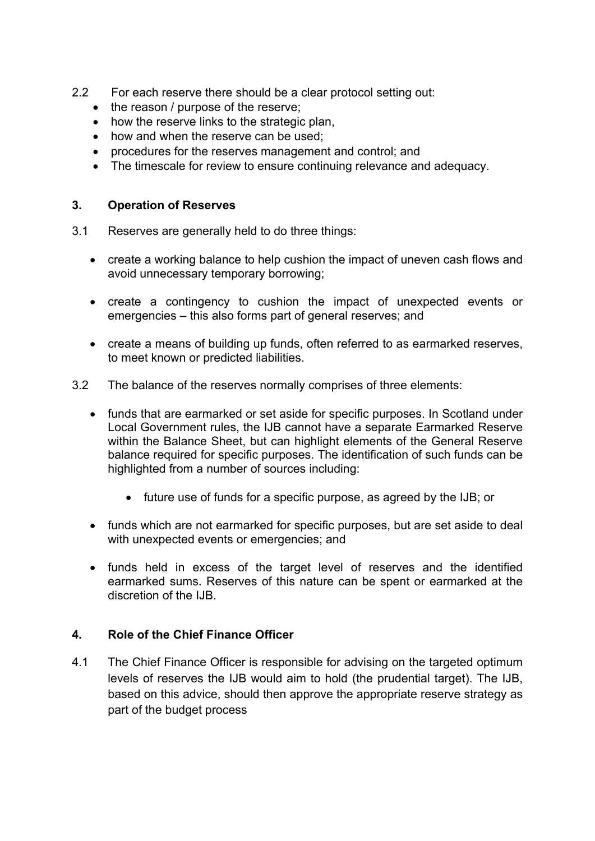- 2.2 For each reserve there should be a clear protocol setting out:
	- the reason / purpose of the reserve;
	- how the reserve links to the strategic plan.
	- how and when the reserve can be used;
	- procedures for the reserves management and control: and
	- The timescale for review to ensure continuing relevance and adequacy.

#### **3. Operation of Reserves**

- 3.1 Reserves are generally held to do three things:
	- create a working balance to help cushion the impact of uneven cash flows and avoid unnecessary temporary borrowing;
	- create a contingency to cushion the impact of unexpected events or emergencies – this also forms part of general reserves; and
	- create a means of building up funds, often referred to as earmarked reserves, to meet known or predicted liabilities.
- 3.2 The balance of the reserves normally comprises of three elements:
	- funds that are earmarked or set aside for specific purposes. In Scotland under Local Government rules, the IJB cannot have a separate Earmarked Reserve within the Balance Sheet, but can highlight elements of the General Reserve balance required for specific purposes. The identification of such funds can be highlighted from a number of sources including:
		- future use of funds for a specific purpose, as agreed by the IJB; or
	- funds which are not earmarked for specific purposes, but are set aside to deal with unexpected events or emergencies; and
	- funds held in excess of the target level of reserves and the identified earmarked sums. Reserves of this nature can be spent or earmarked at the discretion of the IJB.

#### **4. Role of the Chief Finance Officer**

4.1 The Chief Finance Officer is responsible for advising on the targeted optimum levels of reserves the IJB would aim to hold (the prudential target). The IJB, based on this advice, should then approve the appropriate reserve strategy as part of the budget process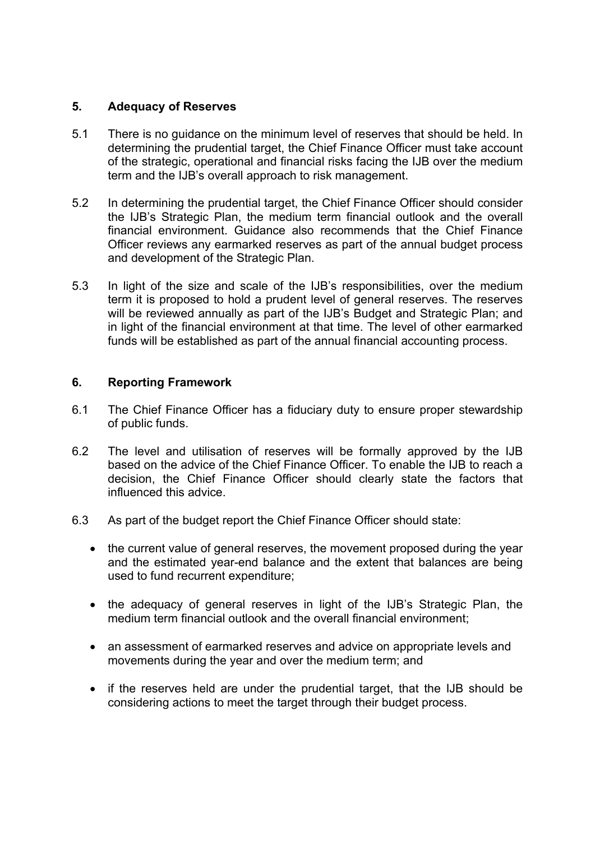#### **5. Adequacy of Reserves**

- 5.1 There is no guidance on the minimum level of reserves that should be held. In determining the prudential target, the Chief Finance Officer must take account of the strategic, operational and financial risks facing the IJB over the medium term and the IJB's overall approach to risk management.
- 5.2 In determining the prudential target, the Chief Finance Officer should consider the IJB's Strategic Plan, the medium term financial outlook and the overall financial environment. Guidance also recommends that the Chief Finance Officer reviews any earmarked reserves as part of the annual budget process and development of the Strategic Plan.
- 5.3 In light of the size and scale of the IJB's responsibilities, over the medium term it is proposed to hold a prudent level of general reserves. The reserves will be reviewed annually as part of the IJB's Budget and Strategic Plan; and in light of the financial environment at that time. The level of other earmarked funds will be established as part of the annual financial accounting process.

#### **6. Reporting Framework**

- 6.1 The Chief Finance Officer has a fiduciary duty to ensure proper stewardship of public funds.
- 6.2 The level and utilisation of reserves will be formally approved by the IJB based on the advice of the Chief Finance Officer. To enable the IJB to reach a decision, the Chief Finance Officer should clearly state the factors that influenced this advice.
- 6.3 As part of the budget report the Chief Finance Officer should state:
	- the current value of general reserves, the movement proposed during the year and the estimated year-end balance and the extent that balances are being used to fund recurrent expenditure;
	- the adequacy of general reserves in light of the IJB's Strategic Plan, the medium term financial outlook and the overall financial environment;
	- an assessment of earmarked reserves and advice on appropriate levels and movements during the year and over the medium term; and
	- if the reserves held are under the prudential target, that the IJB should be considering actions to meet the target through their budget process.